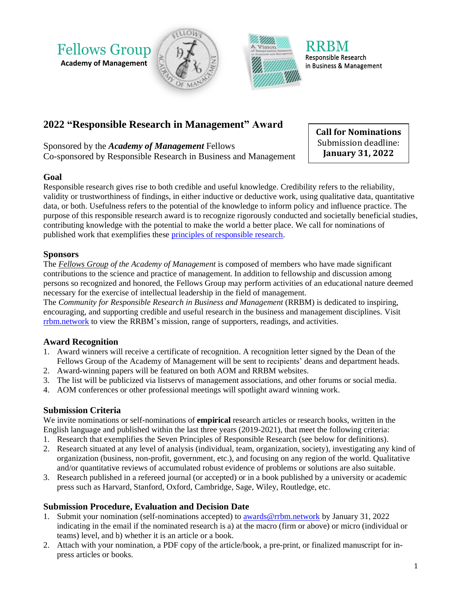



in Business & Management

# **2022 "Responsible Research in Management" Award**

Fellows Group **Academy of Management**

Sponsored by the *Academy of Management* Fellows Co-sponsored by Responsible Research in Business and Management

#### **Goal**

Responsible research gives rise to both credible and useful knowledge. Credibility refers to the reliability, validity or trustworthiness of findings, in either inductive or deductive work, using qualitative data, quantitative data, or both. Usefulness refers to the potential of the knowledge to inform policy and influence practice. The purpose of this responsible research award is to recognize rigorously conducted and societally beneficial studies, contributing knowledge with the potential to make the world a better place. We call for nominations of published work that exemplifies these [principles of responsible research.](https://rrbm.network/position-paper/principles-of-responsible-science/) **President Comparistics or the comparison of the download control in the same of the same of the same of the same of the same of the same of the same of the same of the same of the same of the same of the same of the same** 

## **Sponsors**

The *[Fellows Group](https://aom.org/network/affiliated-and-associated-societies/fellows-group) of the Academy of Management* is composed of members who have made significant contributions to the science and practice of management. In addition to fellowship and discussion among persons so recognized and honored, the Fellows Group may perform activities of an educational nature deemed necessary for the exercise of intellectual leadership in the field of management.

The *Community for Responsible Research in Business and Management* (RRBM) is dedicated to inspiring, encouraging, and supporting credible and useful research in the business and management disciplines. Visit [rrbm.network](https://www.rrbm.network/) to view the RRBM's mission, range of supporters, readings, and activities.

# **Award Recognition**

- 1. Award winners will receive a certificate of recognition. A recognition letter signed by the Dean of the Fellows Group of the Academy of Management will be sent to recipients' deans and department heads.
- 2. Award-winning papers will be featured on both AOM and RRBM websites.
- 3. The list will be publicized via listservs of management associations, and other forums or social media.
- 4. AOM conferences or other professional meetings will spotlight award winning work.

## **Submission Criteria**

We invite nominations or self-nominations of **empirical** research articles or research books, written in the English language and published within the last three years (2019-2021), that meet the following criteria:

- 1. Research that exemplifies the Seven Principles of Responsible Research (see below for definitions).
- 2. Research situated at any level of analysis (individual, team, organization, society), investigating any kind of organization (business, non-profit, government, etc.), and focusing on any region of the world. Qualitative and/or quantitative reviews of accumulated robust evidence of problems or solutions are also suitable.
- 3. Research published in a refereed journal (or accepted) or in a book published by a university or academic press such as Harvard, Stanford, Oxford, Cambridge, Sage, Wiley, Routledge, etc.

## **Submission Procedure, Evaluation and Decision Date**

- 1. Submit your nomination (self-nominations accepted) to [awards@rrbm.network](mailto:awards@rrbm.network) by January 31, 2022 indicating in the email if the nominated research is a) at the macro (firm or above) or micro (individual or teams) level, and b) whether it is an article or a book.
- 2. Attach with your nomination, a PDF copy of the article/book, a pre-print, or finalized manuscript for in-

**Call for Nominations** Submission deadline: **January 31, 2022**